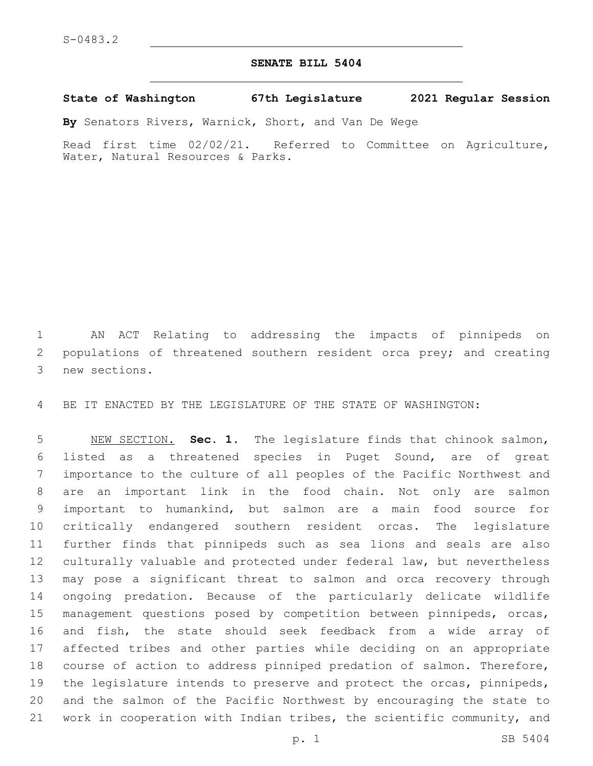## **SENATE BILL 5404**

**State of Washington 67th Legislature 2021 Regular Session**

**By** Senators Rivers, Warnick, Short, and Van De Wege

Read first time 02/02/21. Referred to Committee on Agriculture, Water, Natural Resources & Parks.

 AN ACT Relating to addressing the impacts of pinnipeds on 2 populations of threatened southern resident orca prey; and creating 3 new sections.

BE IT ENACTED BY THE LEGISLATURE OF THE STATE OF WASHINGTON:

 NEW SECTION. **Sec. 1.** The legislature finds that chinook salmon, listed as a threatened species in Puget Sound, are of great importance to the culture of all peoples of the Pacific Northwest and are an important link in the food chain. Not only are salmon important to humankind, but salmon are a main food source for critically endangered southern resident orcas. The legislature further finds that pinnipeds such as sea lions and seals are also culturally valuable and protected under federal law, but nevertheless may pose a significant threat to salmon and orca recovery through ongoing predation. Because of the particularly delicate wildlife management questions posed by competition between pinnipeds, orcas, and fish, the state should seek feedback from a wide array of affected tribes and other parties while deciding on an appropriate course of action to address pinniped predation of salmon. Therefore, the legislature intends to preserve and protect the orcas, pinnipeds, and the salmon of the Pacific Northwest by encouraging the state to work in cooperation with Indian tribes, the scientific community, and